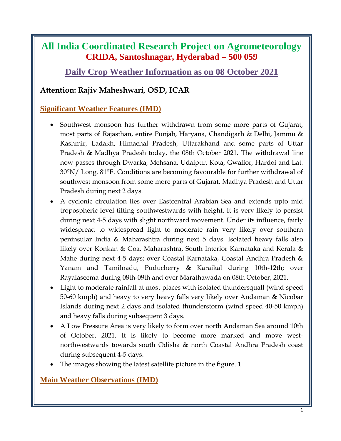## **All India Coordinated Research Project on Agrometeorology CRIDA, Santoshnagar, Hyderabad – 500 059**

**Daily Crop Weather Information as on 08 October 2021**

## **Attention: Rajiv Maheshwari, OSD, ICAR**

## **Significant Weather Features (IMD)**

- Southwest monsoon has further withdrawn from some more parts of Gujarat, most parts of Rajasthan, entire Punjab, Haryana, Chandigarh & Delhi, Jammu & Kashmir, Ladakh, Himachal Pradesh, Uttarakhand and some parts of Uttar Pradesh & Madhya Pradesh today, the 08th October 2021. The withdrawal line now passes through Dwarka, Mehsana, Udaipur, Kota, Gwalior, Hardoi and Lat. 30°N/ Long. 81°E. Conditions are becoming favourable for further withdrawal of southwest monsoon from some more parts of Gujarat, Madhya Pradesh and Uttar Pradesh during next 2 days.
- A cyclonic circulation lies over Eastcentral Arabian Sea and extends upto mid tropospheric level tilting southwestwards with height. It is very likely to persist during next 4-5 days with slight northward movement. Under its influence, fairly widespread to widespread light to moderate rain very likely over southern peninsular India & Maharashtra during next 5 days. Isolated heavy falls also likely over Konkan & Goa, Maharashtra, South Interior Karnataka and Kerala & Mahe during next 4-5 days; over Coastal Karnataka, Coastal Andhra Pradesh & Yanam and Tamilnadu, Puducherry & Karaikal during 10th-12th; over Rayalaseema during 08th-09th and over Marathawada on 08th October, 2021.
- Light to moderate rainfall at most places with isolated thundersquall (wind speed 50-60 kmph) and heavy to very heavy falls very likely over Andaman & Nicobar Islands during next 2 days and isolated thunderstorm (wind speed 40-50 kmph) and heavy falls during subsequent 3 days.
- A Low Pressure Area is very likely to form over north Andaman Sea around 10th of October, 2021. It is likely to become more marked and move westnorthwestwards towards south Odisha & north Coastal Andhra Pradesh coast during subsequent 4-5 days.
- The images showing the latest satellite picture in the figure. 1.

## **Main Weather Observations (IMD)**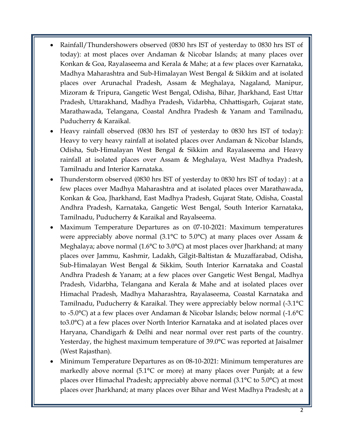- Rainfall/Thundershowers observed (0830 hrs IST of yesterday to 0830 hrs IST of today): at most places over Andaman & Nicobar Islands; at many places over Konkan & Goa, Rayalaseema and Kerala & Mahe; at a few places over Karnataka, Madhya Maharashtra and Sub-Himalayan West Bengal & Sikkim and at isolated places over Arunachal Pradesh, Assam & Meghalaya, Nagaland, Manipur, Mizoram & Tripura, Gangetic West Bengal, Odisha, Bihar, Jharkhand, East Uttar Pradesh, Uttarakhand, Madhya Pradesh, Vidarbha, Chhattisgarh, Gujarat state, Marathawada, Telangana, Coastal Andhra Pradesh & Yanam and Tamilnadu, Puducherry & Karaikal.
- Heavy rainfall observed (0830 hrs IST of yesterday to 0830 hrs IST of today): Heavy to very heavy rainfall at isolated places over Andaman & Nicobar Islands, Odisha, Sub-Himalayan West Bengal & Sikkim and Rayalaseema and Heavy rainfall at isolated places over Assam & Meghalaya, West Madhya Pradesh, Tamilnadu and Interior Karnataka.
- Thunderstorm observed (0830 hrs IST of yesterday to 0830 hrs IST of today) : at a few places over Madhya Maharashtra and at isolated places over Marathawada, Konkan & Goa, Jharkhand, East Madhya Pradesh, Gujarat State, Odisha, Coastal Andhra Pradesh, Karnataka, Gangetic West Bengal, South Interior Karnataka, Tamilnadu, Puducherry & Karaikal and Rayalseema.
- Maximum Temperature Departures as on 07-10-2021: Maximum temperatures were appreciably above normal (3.1 $^{\circ}$ C to 5.0 $^{\circ}$ C) at many places over Assam & Meghalaya; above normal (1.6°C to 3.0°C) at most places over Jharkhand; at many places over Jammu, Kashmir, Ladakh, Gilgit-Baltistan & Muzaffarabad, Odisha, Sub-Himalayan West Bengal & Sikkim, South Interior Karnataka and Coastal Andhra Pradesh & Yanam; at a few places over Gangetic West Bengal, Madhya Pradesh, Vidarbha, Telangana and Kerala & Mahe and at isolated places over Himachal Pradesh, Madhya Maharashtra, Rayalaseema, Coastal Karnataka and Tamilnadu, Puducherry & Karaikal. They were appreciably below normal (-3.1°C to -5.0°C) at a few places over Andaman & Nicobar Islands; below normal (-1.6°C to3.0°C) at a few places over North Interior Karnataka and at isolated places over Haryana, Chandigarh & Delhi and near normal over rest parts of the country. Yesterday, the highest maximum temperature of 39.0°C was reported at Jaisalmer (West Rajasthan).
- Minimum Temperature Departures as on 08-10-2021: Minimum temperatures are markedly above normal (5.1°C or more) at many places over Punjab; at a few places over Himachal Pradesh; appreciably above normal (3.1°C to 5.0°C) at most places over Jharkhand; at many places over Bihar and West Madhya Pradesh; at a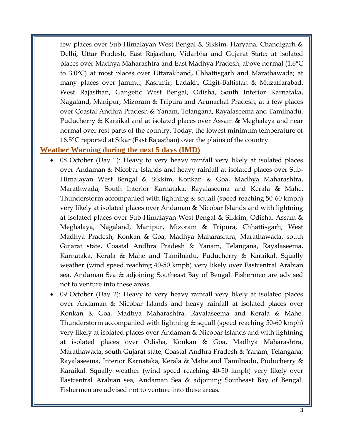few places over Sub-Himalayan West Bengal & Sikkim, Haryana, Chandigarh & Delhi, Uttar Pradesh, East Rajasthan, Vidarbha and Gujarat State; at isolated places over Madhya Maharashtra and East Madhya Pradesh; above normal (1.6°C to 3.0°C) at most places over Uttarakhand, Chhattisgarh and Marathawada; at many places over Jammu, Kashmir, Ladakh, Gilgit-Baltistan & Muzaffarabad, West Rajasthan, Gangetic West Bengal, Odisha, South Interior Karnataka, Nagaland, Manipur, Mizoram & Tripura and Arunachal Pradesh; at a few places over Coastal Andhra Pradesh & Yanam, Telangana, Rayalaseema and Tamilnadu, Puducherry & Karaikal and at isolated places over Assam & Meghalaya and near normal over rest parts of the country. Today, the lowest minimum temperature of 16.5°C reported at Sikar (East Rajasthan) over the plains of the country.

#### **Weather Warning during the next 5 days (IMD)**

- 08 October (Day 1): Heavy to very heavy rainfall very likely at isolated places over Andaman & Nicobar Islands and heavy rainfall at isolated places over Sub-Himalayan West Bengal & Sikkim, Konkan & Goa, Madhya Maharashtra, Marathwada, South Interior Karnataka, Rayalaseema and Kerala & Mahe. Thunderstorm accompanied with lightning & squall (speed reaching 50-60 kmph) very likely at isolated places over Andaman & Nicobar Islands and with lightning at isolated places over Sub-Himalayan West Bengal & Sikkim, Odisha, Assam & Meghalaya, Nagaland, Manipur, Mizoram & Tripura, Chhattisgarh, West Madhya Pradesh, Konkan & Goa, Madhya Maharashtra, Marathawada, south Gujarat state, Coastal Andhra Pradesh & Yanam, Telangana, Rayalaseema, Karnataka, Kerala & Mahe and Tamilnadu, Puducherry & Karaikal. Squally weather (wind speed reaching 40-50 kmph) very likely over Eastcentral Arabian sea, Andaman Sea & adjoining Southeast Bay of Bengal. Fishermen are advised not to venture into these areas.
- 09 October (Day 2): Heavy to very heavy rainfall very likely at isolated places over Andaman & Nicobar Islands and heavy rainfall at isolated places over Konkan & Goa, Madhya Maharashtra, Rayalaseema and Kerala & Mahe. Thunderstorm accompanied with lightning & squall (speed reaching 50-60 kmph) very likely at isolated places over Andaman & Nicobar Islands and with lightning at isolated places over Odisha, Konkan & Goa, Madhya Maharashtra, Marathawada, south Gujarat state, Coastal Andhra Pradesh & Yanam, Telangana, Rayalaseema, Interior Karnataka, Kerala & Mahe and Tamilnadu, Puducherry & Karaikal. Squally weather (wind speed reaching 40-50 kmph) very likely over Eastcentral Arabian sea, Andaman Sea & adjoining Southeast Bay of Bengal. Fishermen are advised not to venture into these areas.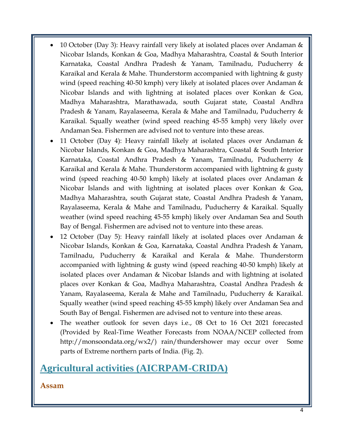- 10 October (Day 3): Heavy rainfall very likely at isolated places over Andaman & Nicobar Islands, Konkan & Goa, Madhya Maharashtra, Coastal & South Interior Karnataka, Coastal Andhra Pradesh & Yanam, Tamilnadu, Puducherry & Karaikal and Kerala & Mahe. Thunderstorm accompanied with lightning & gusty wind (speed reaching 40-50 kmph) very likely at isolated places over Andaman & Nicobar Islands and with lightning at isolated places over Konkan & Goa, Madhya Maharashtra, Marathawada, south Gujarat state, Coastal Andhra Pradesh & Yanam, Rayalaseema, Kerala & Mahe and Tamilnadu, Puducherry & Karaikal. Squally weather (wind speed reaching 45-55 kmph) very likely over Andaman Sea. Fishermen are advised not to venture into these areas.
- 11 October (Day 4): Heavy rainfall likely at isolated places over Andaman & Nicobar Islands, Konkan & Goa, Madhya Maharashtra, Coastal & South Interior Karnataka, Coastal Andhra Pradesh & Yanam, Tamilnadu, Puducherry & Karaikal and Kerala & Mahe. Thunderstorm accompanied with lightning & gusty wind (speed reaching 40-50 kmph) likely at isolated places over Andaman & Nicobar Islands and with lightning at isolated places over Konkan & Goa, Madhya Maharashtra, south Gujarat state, Coastal Andhra Pradesh & Yanam, Rayalaseema, Kerala & Mahe and Tamilnadu, Puducherry & Karaikal. Squally weather (wind speed reaching 45-55 kmph) likely over Andaman Sea and South Bay of Bengal. Fishermen are advised not to venture into these areas.
- 12 October (Day 5): Heavy rainfall likely at isolated places over Andaman & Nicobar Islands, Konkan & Goa, Karnataka, Coastal Andhra Pradesh & Yanam, Tamilnadu, Puducherry & Karaikal and Kerala & Mahe. Thunderstorm accompanied with lightning & gusty wind (speed reaching 40-50 kmph) likely at isolated places over Andaman & Nicobar Islands and with lightning at isolated places over Konkan & Goa, Madhya Maharashtra, Coastal Andhra Pradesh & Yanam, Rayalaseema, Kerala & Mahe and Tamilnadu, Puducherry & Karaikal. Squally weather (wind speed reaching 45-55 kmph) likely over Andaman Sea and South Bay of Bengal. Fishermen are advised not to venture into these areas.
- The weather outlook for seven days i.e., 08 Oct to 16 Oct 2021 forecasted (Provided by Real-Time Weather Forecasts from NOAA/NCEP collected from http://monsoondata.org/wx2/) rain/thundershower may occur over Some parts of Extreme northern parts of India. (Fig. 2).

# **Agricultural activities (AICRPAM-CRIDA)**

### **Assam**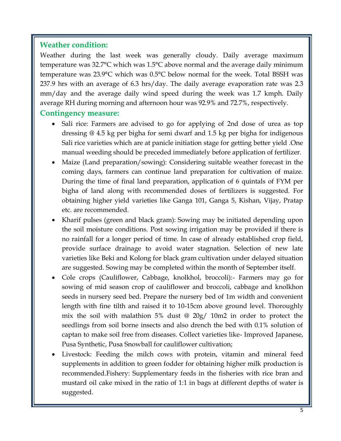## **Weather condition:**

Weather during the last week was generally cloudy. Daily average maximum temperature was 32.7°C which was 1.5°C above normal and the average daily minimum temperature was 23.9°C which was 0.5°C below normal for the week. Total BSSH was 237.9 hrs with an average of 6.3 hrs/day. The daily average evaporation rate was 2.3 mm/day and the average daily wind speed during the week was 1.7 kmph. Daily average RH during morning and afternoon hour was 92.9% and 72.7%, respectively.

### **Contingency measure:**

- Sali rice: Farmers are advised to go for applying of 2nd dose of urea as top dressing @ 4.5 kg per bigha for semi dwarf and 1.5 kg per bigha for indigenous Sali rice varieties which are at panicle initiation stage for getting better yield .One manual weeding should be preceded immediately before application of fertilizer.
- Maize (Land preparation/sowing): Considering suitable weather forecast in the coming days, farmers can continue land preparation for cultivation of maize. During the time of final land preparation, application of 6 quintals of FYM per bigha of land along with recommended doses of fertilizers is suggested. For obtaining higher yield varieties like Ganga 101, Ganga 5, Kishan, Vijay, Pratap etc. are recommended.
- Kharif pulses (green and black gram): Sowing may be initiated depending upon the soil moisture conditions. Post sowing irrigation may be provided if there is no rainfall for a longer period of time. In case of already established crop field, provide surface drainage to avoid water stagnation. Selection of new late varieties like Beki and Kolong for black gram cultivation under delayed situation are suggested. Sowing may be completed within the month of September itself.
- Cole crops (Cauliflower, Cabbage, knolkhol, broccoli):- Farmers may go for sowing of mid season crop of cauliflower and broccoli, cabbage and knolkhon seeds in nursery seed bed. Prepare the nursery bed of 1m width and convenient length with fine tilth and raised it to 10-15cm above ground level. Thoroughly mix the soil with malathion 5% dust @ 20g/ 10m2 in order to protect the seedlings from soil borne insects and also drench the bed with 0.1% solution of captan to make soil free from diseases. Collect varieties like- Improved Japanese, Pusa Synthetic, Pusa Snowball for cauliflower cultivation;
- Livestock: Feeding the milch cows with protein, vitamin and mineral feed supplements in addition to green fodder for obtaining higher milk production is recommended.Fishery: Supplementary feeds in the fisheries with rice bran and mustard oil cake mixed in the ratio of 1:1 in bags at different depths of water is suggested.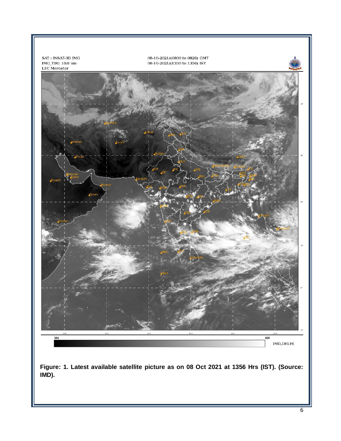